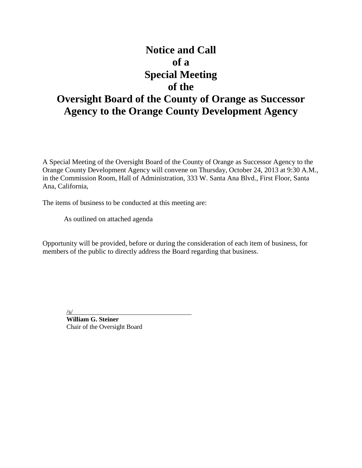# **Notice and Call of a Special Meeting of the Oversight Board of the County of Orange as Successor Agency to the Orange County Development Agency**

A Special Meeting of the Oversight Board of the County of Orange as Successor Agency to the Orange County Development Agency will convene on Thursday, October 24, 2013 at 9:30 A.M., in the Commission Room, Hall of Administration, 333 W. Santa Ana Blvd., First Floor, Santa Ana, California,

The items of business to be conducted at this meeting are:

As outlined on attached agenda

Opportunity will be provided, before or during the consideration of each item of business, for members of the public to directly address the Board regarding that business.

/s/

**William G. Steiner** Chair of the Oversight Board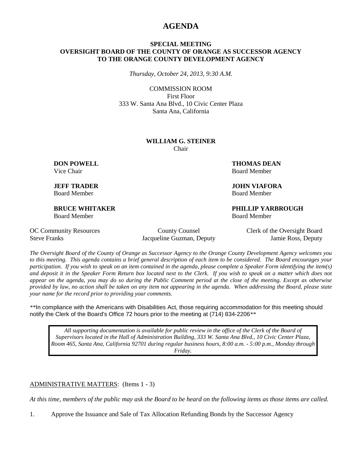# **AGENDA**

#### **SPECIAL MEETING OVERSIGHT BOARD OF THE COUNTY OF ORANGE AS SUCCESSOR AGENCY TO THE ORANGE COUNTY DEVELOPMENT AGENCY**

*Thursday, October 24, 2013, 9:30 A.M.*

COMMISSION ROOM First Floor 333 W. Santa Ana Blvd., 10 Civic Center Plaza Santa Ana, California

#### **WILLIAM G. STEINER** Chair

Board Member Board Member

Board Member Board Member

**DON POWELL THOMAS DEAN** Vice Chair **Board Member** Board Member

**JEFF TRADER JOHN VIAFORA**

**BRUCE WHITAKER PHILLIP YARBROUGH**

Steve Franks Jacqueline Guzman, Deputy Jamie Ross, Deputy

OC Community Resources County Counsel Clerk of the Oversight Board

*The Oversight Board of the County of Orange as Successor Agency to the Orange County Development Agency welcomes you to this meeting. This agenda contains a brief general description of each item to be considered. The Board encourages your participation. If you wish to speak on an item contained in the agenda, please complete a Speaker Form identifying the item(s) and deposit it in the Speaker Form Return box located next to the Clerk. If you wish to speak on a matter which does not appear on the agenda, you may do so during the Public Comment period at the close of the meeting. Except as otherwise provided by law, no action shall be taken on any item not appearing in the agenda. When addressing the Board, please state your name for the record prior to providing your comments.* 

*\*\**In compliance with the Americans with Disabilities Act, those requiring accommodation for this meeting should notify the Clerk of the Board's Office 72 hours prior to the meeting at (714) 834-2206*\*\**

*All supporting documentation is available for public review in the office of the Clerk of the Board of Supervisors located in the Hall of Administration Building, 333 W. Santa Ana Blvd., 10 Civic Center Plaza, Room 465, Santa Ana, California 92701 during regular business hours, 8:00 a.m. - 5:00 p.m., Monday through Friday.*

ADMINISTRATIVE MATTERS: (Items 1 - 3)

*At this time, members of the public may ask the Board to be heard on the following items as those items are called.*

1. Approve the Issuance and Sale of Tax Allocation Refunding Bonds by the Successor Agency